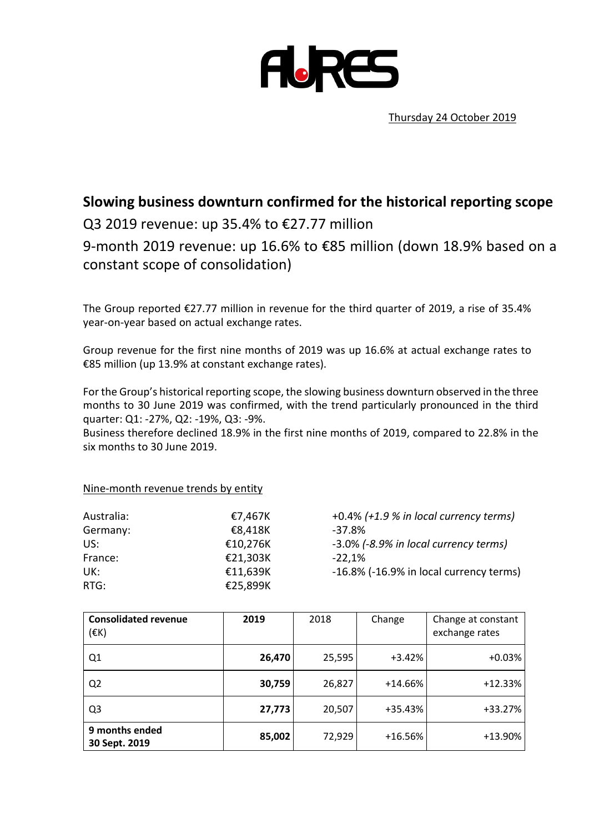

Thursday 24 October 2019

# **Slowing business downturn confirmed for the historical reporting scope**

## Q3 2019 revenue: up 35.4% to €27.77 million

9-month 2019 revenue: up 16.6% to €85 million (down 18.9% based on a constant scope of consolidation)

The Group reported €27.77 million in revenue for the third quarter of 2019, a rise of 35.4% year-on-year based on actual exchange rates.

Group revenue for the first nine months of 2019 was up 16.6% at actual exchange rates to €85 million (up 13.9% at constant exchange rates).

For the Group's historical reporting scope, the slowing business downturn observed in the three months to 30 June 2019 was confirmed, with the trend particularly pronounced in the third quarter: Q1: -27%, Q2: -19%, Q3: -9%.

Business therefore declined 18.9% in the first nine months of 2019, compared to 22.8% in the six months to 30 June 2019.

#### Nine-month revenue trends by entity

| Australia: | €7,467K  | +0.4%    |  |
|------------|----------|----------|--|
| Germany:   | €8,418K  | $-37.8%$ |  |
| US:        | €10,276K | $-3.0\%$ |  |
| France:    | €21,303K | $-22,1%$ |  |
| UK:        | €11,639K | $-16.8%$ |  |
| RTG:       | €25,899K |          |  |
|            |          |          |  |

Australia: €7,467K +0.4% *(+1.9 % in local currency terms)* US: €10,276K -3.0% *(-8.9% in local currency terms)*  $-16.8\%$  ( $-16.9\%$  in local currency terms)

| <b>Consolidated revenue</b><br>$(\varepsilon K)$ | 2019   | 2018   | Change    | Change at constant<br>exchange rates |
|--------------------------------------------------|--------|--------|-----------|--------------------------------------|
| Q <sub>1</sub>                                   | 26,470 | 25,595 | $+3.42%$  | $+0.03%$                             |
| Q <sub>2</sub>                                   | 30,759 | 26,827 | $+14.66%$ | $+12.33%$                            |
| Q <sub>3</sub>                                   | 27,773 | 20,507 | +35.43%   | +33.27%                              |
| 9 months ended<br>30 Sept. 2019                  | 85,002 | 72,929 | $+16.56%$ | +13.90%                              |